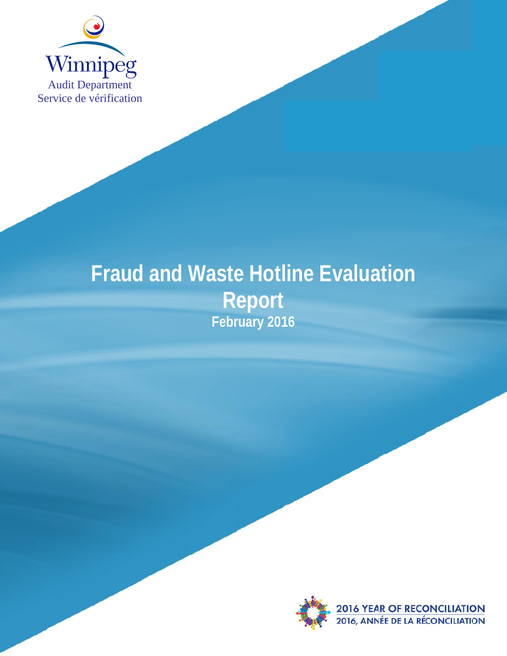

# **Fraud and Waste Hotline Evaluation** Report<br>February 2016

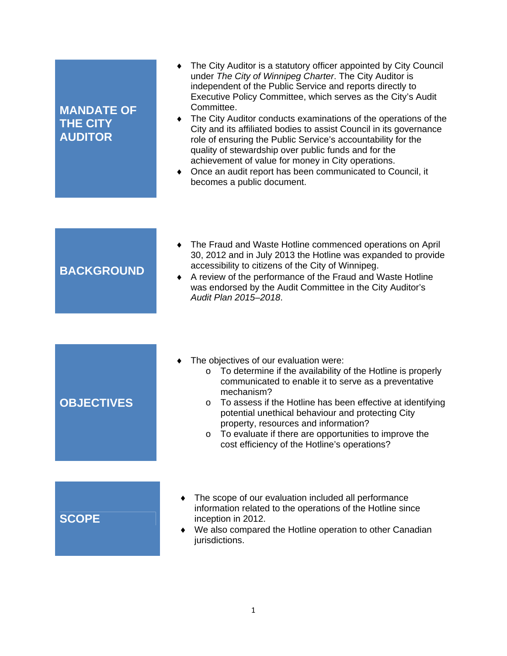| <b>MANDATE OF</b><br><b>THE CITY</b><br><b>AUDITOR</b> | The City Auditor is a statutory officer appointed by City Council<br>under The City of Winnipeg Charter. The City Auditor is<br>independent of the Public Service and reports directly to<br>Executive Policy Committee, which serves as the City's Audit<br>Committee.<br>The City Auditor conducts examinations of the operations of the<br>City and its affiliated bodies to assist Council in its governance<br>role of ensuring the Public Service's accountability for the<br>quality of stewardship over public funds and for the<br>achievement of value for money in City operations.<br>Once an audit report has been communicated to Council, it<br>$\bullet$<br>becomes a public document. |
|--------------------------------------------------------|--------------------------------------------------------------------------------------------------------------------------------------------------------------------------------------------------------------------------------------------------------------------------------------------------------------------------------------------------------------------------------------------------------------------------------------------------------------------------------------------------------------------------------------------------------------------------------------------------------------------------------------------------------------------------------------------------------|
|                                                        |                                                                                                                                                                                                                                                                                                                                                                                                                                                                                                                                                                                                                                                                                                        |
| <b>BACKGROUND</b>                                      | The Fraud and Waste Hotline commenced operations on April<br>$\bullet$<br>30, 2012 and in July 2013 the Hotline was expanded to provide<br>accessibility to citizens of the City of Winnipeg.<br>A review of the performance of the Fraud and Waste Hotline<br>$\bullet$<br>was endorsed by the Audit Committee in the City Auditor's<br>Audit Plan 2015-2018.                                                                                                                                                                                                                                                                                                                                         |
|                                                        |                                                                                                                                                                                                                                                                                                                                                                                                                                                                                                                                                                                                                                                                                                        |
| <b>OBJECTIVES</b>                                      | The objectives of our evaluation were:<br>o To determine if the availability of the Hotline is properly<br>communicated to enable it to serve as a preventative<br>mechanism?<br>To assess if the Hotline has been effective at identifying<br>$\circ$<br>potential unethical behaviour and protecting City<br>property, resources and information?<br>To evaluate if there are opportunities to improve the<br>O<br>cost efficiency of the Hotline's operations?                                                                                                                                                                                                                                      |
|                                                        |                                                                                                                                                                                                                                                                                                                                                                                                                                                                                                                                                                                                                                                                                                        |
| <b>SCOPE</b>                                           | The scope of our evaluation included all performance<br>information related to the operations of the Hotline since<br>inception in 2012.<br>We also compared the Hotline operation to other Canadian<br>jurisdictions.                                                                                                                                                                                                                                                                                                                                                                                                                                                                                 |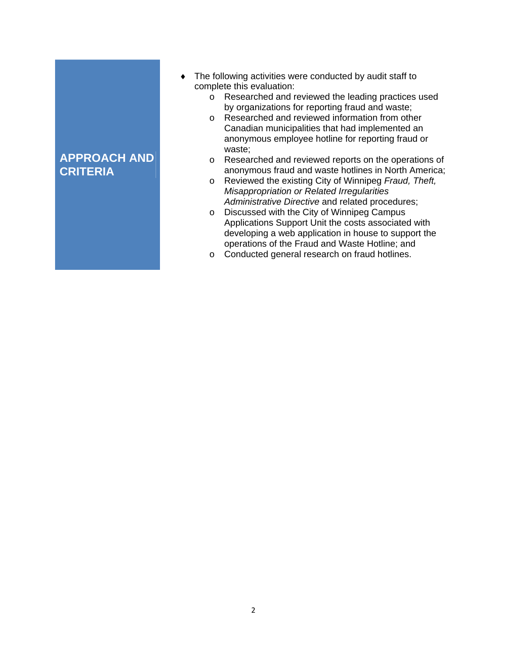## **APPROACH AND CRITERIA**

- The following activities were conducted by audit staff to complete this evaluation:
	- o Researched and reviewed the leading practices used by organizations for reporting fraud and waste;
	- o Researched and reviewed information from other Canadian municipalities that had implemented an anonymous employee hotline for reporting fraud or waste;
	- o Researched and reviewed reports on the operations of anonymous fraud and waste hotlines in North America;
	- o Reviewed the existing City of Winnipeg *Fraud, Theft, Misappropriation or Related Irregularities Administrative Directive* and related procedures;
	- o Discussed with the City of Winnipeg Campus Applications Support Unit the costs associated with developing a web application in house to support the operations of the Fraud and Waste Hotline; and
	- o Conducted general research on fraud hotlines.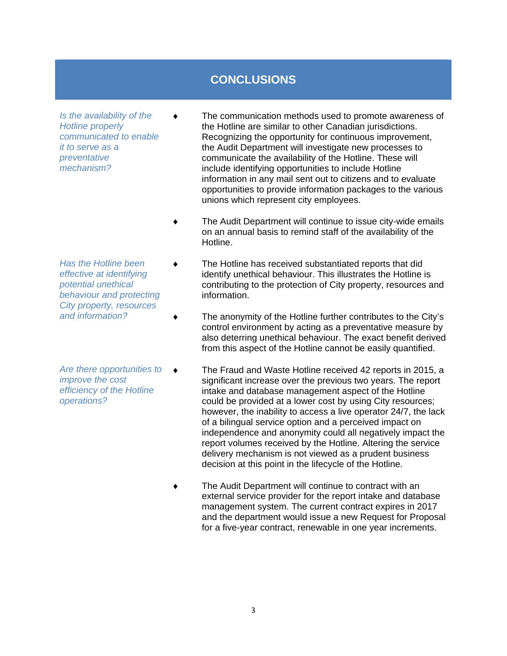## **CONCLUSIONS**

*Is the availability of the Hotline properly communicated to enable it to serve as a preventative mechanism?* 

- *Has the Hotline been effective at identifying potential unethical behaviour and protecting City property, resources and information?*
- *Are there opportunities to improve the cost efficiency of the Hotline operations?*
- The communication methods used to promote awareness of the Hotline are similar to other Canadian jurisdictions. Recognizing the opportunity for continuous improvement, the Audit Department will investigate new processes to communicate the availability of the Hotline. These will include identifying opportunities to include Hotline information in any mail sent out to citizens and to evaluate opportunities to provide information packages to the various unions which represent city employees.
- The Audit Department will continue to issue city-wide emails on an annual basis to remind staff of the availability of the Hotline.
- The Hotline has received substantiated reports that did identify unethical behaviour. This illustrates the Hotline is contributing to the protection of City property, resources and information.
- The anonymity of the Hotline further contributes to the City's control environment by acting as a preventative measure by also deterring unethical behaviour. The exact benefit derived from this aspect of the Hotline cannot be easily quantified.
- The Fraud and Waste Hotline received 42 reports in 2015, a significant increase over the previous two years. The report intake and database management aspect of the Hotline could be provided at a lower cost by using City resources; however, the inability to access a live operator 24/7, the lack of a bilingual service option and a perceived impact on independence and anonymity could all negatively impact the report volumes received by the Hotline. Altering the service delivery mechanism is not viewed as a prudent business decision at this point in the lifecycle of the Hotline.
- The Audit Department will continue to contract with an external service provider for the report intake and database management system. The current contract expires in 2017 and the department would issue a new Request for Proposal for a five-year contract, renewable in one year increments.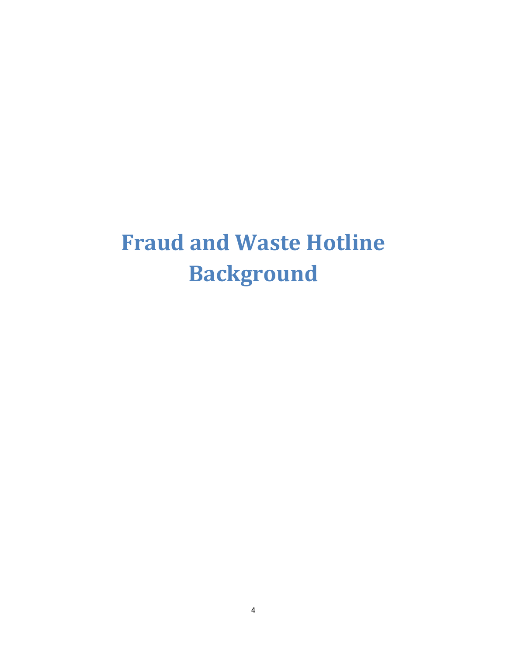## **Fraud and Waste Hotline Background**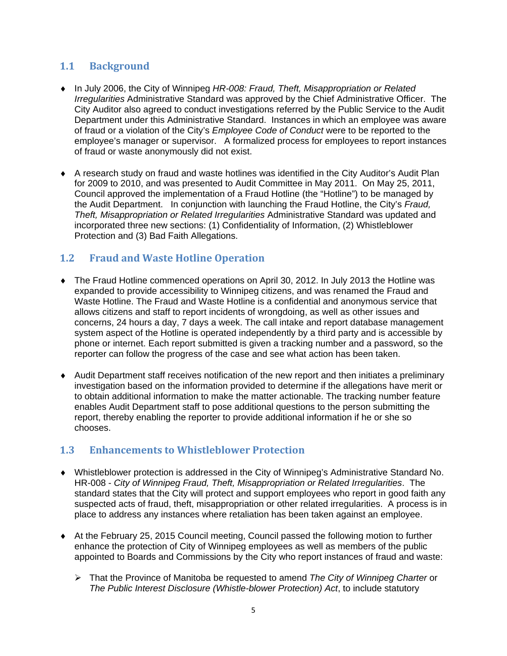### **1.1 Background**

- In July 2006, the City of Winnipeg *HR-008: Fraud, Theft, Misappropriation or Related Irregularities* Administrative Standard was approved by the Chief Administrative Officer. The City Auditor also agreed to conduct investigations referred by the Public Service to the Audit Department under this Administrative Standard. Instances in which an employee was aware of fraud or a violation of the City's *Employee Code of Conduct* were to be reported to the employee's manager or supervisor. A formalized process for employees to report instances of fraud or waste anonymously did not exist.
- A research study on fraud and waste hotlines was identified in the City Auditor's Audit Plan for 2009 to 2010, and was presented to Audit Committee in May 2011. On May 25, 2011, Council approved the implementation of a Fraud Hotline (the "Hotline") to be managed by the Audit Department. In conjunction with launching the Fraud Hotline, the City's *Fraud, Theft, Misappropriation or Related Irregularities* Administrative Standard was updated and incorporated three new sections: (1) Confidentiality of Information, (2) Whistleblower Protection and (3) Bad Faith Allegations.

### **1.2 Fraud and Waste Hotline Operation**

- The Fraud Hotline commenced operations on April 30, 2012. In July 2013 the Hotline was expanded to provide accessibility to Winnipeg citizens, and was renamed the Fraud and Waste Hotline. The Fraud and Waste Hotline is a confidential and anonymous service that allows citizens and staff to report incidents of wrongdoing, as well as other issues and concerns, 24 hours a day, 7 days a week. The call intake and report database management system aspect of the Hotline is operated independently by a third party and is accessible by phone or internet. Each report submitted is given a tracking number and a password, so the reporter can follow the progress of the case and see what action has been taken.
- Audit Department staff receives notification of the new report and then initiates a preliminary investigation based on the information provided to determine if the allegations have merit or to obtain additional information to make the matter actionable. The tracking number feature enables Audit Department staff to pose additional questions to the person submitting the report, thereby enabling the reporter to provide additional information if he or she so chooses.

#### **1.3 Enhancements to Whistleblower Protection**

- Whistleblower protection is addressed in the City of Winnipeg's Administrative Standard No. HR-008 - *City of Winnipeg Fraud, Theft, Misappropriation or Related Irregularities*. The standard states that the City will protect and support employees who report in good faith any suspected acts of fraud, theft, misappropriation or other related irregularities. A process is in place to address any instances where retaliation has been taken against an employee.
- At the February 25, 2015 Council meeting, Council passed the following motion to further enhance the protection of City of Winnipeg employees as well as members of the public appointed to Boards and Commissions by the City who report instances of fraud and waste:
	- That the Province of Manitoba be requested to amend *The City of Winnipeg Charter* or *The Public Interest Disclosure (Whistle-blower Protection) Act*, to include statutory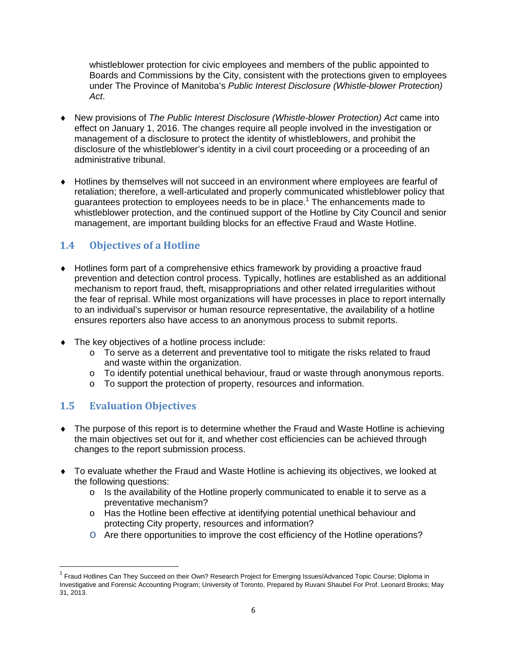whistleblower protection for civic employees and members of the public appointed to Boards and Commissions by the City, consistent with the protections given to employees under The Province of Manitoba's *Public Interest Disclosure (Whistle-blower Protection) Act*.

- New provisions of *The Public Interest Disclosure (Whistle-blower Protection) Act* came into effect on January 1, 2016. The changes require all people involved in the investigation or management of a disclosure to protect the identity of whistleblowers, and prohibit the disclosure of the whistleblower's identity in a civil court proceeding or a proceeding of an administrative tribunal.
- Hotlines by themselves will not succeed in an environment where employees are fearful of retaliation; therefore, a well-articulated and properly communicated whistleblower policy that guarantees protection to employees needs to be in place.<sup>1</sup> The enhancements made to whistleblower protection, and the continued support of the Hotline by City Council and senior management, are important building blocks for an effective Fraud and Waste Hotline.

## **1.4 Objectives of a Hotline**

- Hotlines form part of a comprehensive ethics framework by providing a proactive fraud prevention and detection control process. Typically, hotlines are established as an additional mechanism to report fraud, theft, misappropriations and other related irregularities without the fear of reprisal. While most organizations will have processes in place to report internally to an individual's supervisor or human resource representative, the availability of a hotline ensures reporters also have access to an anonymous process to submit reports.
- ◆ The key objectives of a hotline process include:
	- $\circ$  To serve as a deterrent and preventative tool to mitigate the risks related to fraud and waste within the organization.
	- o To identify potential unethical behaviour, fraud or waste through anonymous reports.
	- o To support the protection of property, resources and information.

### **1.5 Evaluation Objectives**

- The purpose of this report is to determine whether the Fraud and Waste Hotline is achieving the main objectives set out for it, and whether cost efficiencies can be achieved through changes to the report submission process.
- To evaluate whether the Fraud and Waste Hotline is achieving its objectives, we looked at the following questions:
	- o Is the availability of the Hotline properly communicated to enable it to serve as a preventative mechanism?
	- o Has the Hotline been effective at identifying potential unethical behaviour and protecting City property, resources and information?
	- o Are there opportunities to improve the cost efficiency of the Hotline operations?

<sup>&</sup>lt;sup>1</sup> Fraud Hotlines Can They Succeed on their Own? Research Project for Emerging Issues/Advanced Topic Course; Diploma in Investigative and Forensic Accounting Program; University of Toronto, Prepared by Ruvani Shaubel For Prof. Leonard Brooks; May 31, 2013.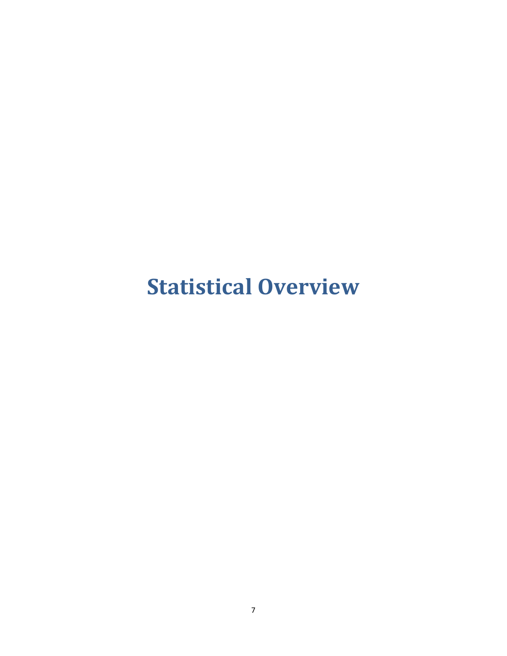## **Statistical Overview**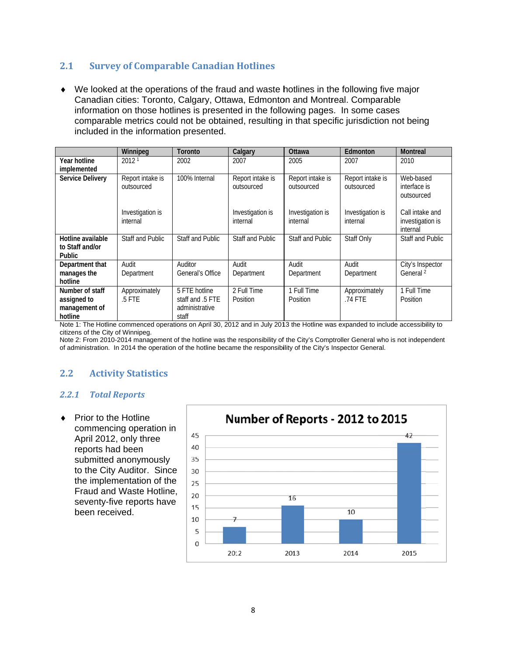#### $2.1$ **Survey of Comparable Canadian Hotlines**

• We looked at the operations of the fraud and waste hotlines in the following five major Canadian cities: Toronto, Calgary, Ottawa, Edmonton and Montreal. Comparable information on those hotlines is presented in the following pages. In some cases comparable metrics could not be obtained, resulting in that specific jurisdiction not being included in the information presented.

|                                                            | Winnipeg                       | Toronto                                                      | Calgary                        | Ottawa                         | Edmonton                       | <b>Montreal</b>                                 |
|------------------------------------------------------------|--------------------------------|--------------------------------------------------------------|--------------------------------|--------------------------------|--------------------------------|-------------------------------------------------|
| Year hotline<br>implemented                                | 2012 <sup>1</sup>              | 2002                                                         | 2007                           | 2005                           | 2007                           | 2010                                            |
| <b>Service Delivery</b>                                    | Report intake is<br>outsourced | 100% Internal                                                | Report intake is<br>outsourced | Report intake is<br>outsourced | Report intake is<br>outsourced | Web-based<br>interface is<br>outsourced         |
|                                                            | Investigation is<br>internal   |                                                              | Investigation is<br>internal   | Investigation is<br>internal   | Investigation is<br>internal   | Call intake and<br>investigation is<br>internal |
| Hotline available<br>to Staff and/or<br>Public             | Staff and Public               | Staff and Public                                             | Staff and Public               | Staff and Public               | Staff Only                     | Staff and Public                                |
| Department that                                            | Audit                          | Auditor                                                      | Audit                          | Audit                          | Audit                          | City's Inspector                                |
| manages the<br>hotline                                     | Department                     | General's Office                                             | Department                     | Department                     | Department                     | General <sup>2</sup>                            |
| Number of staff<br>assigned to<br>management of<br>hotline | Approximately<br>$.5$ FTE      | 5 FTE hotline<br>staff and .5 FTE<br>administrative<br>staff | 2 Full Time<br>Position        | 1 Full Time<br>Position        | Approximately<br>.74 FTE       | 1 Full Time<br>Position                         |

Note 1: The Hotline commenced operations on April 30, 2012 and in July 2013 the Hotline was expanded to include accessibility to citizens of the City of Winnipeg.

Note 2: From 2010-2014 management of the hotline was the responsibility of the City's Comptroller General who is not independent of administration. In 2014 the operation of the hotline became the responsibility of the City's Inspector General.

#### $2.2$ **Activity Statistics**

#### $2.2.1$ **Total Reports**

♦ Prior to the Hotline commencing operation in April 2012, only three reports had been submitted anonymously to the City Auditor. Since the implementation of the Fraud and Waste Hotline, seventy-five reports have been received

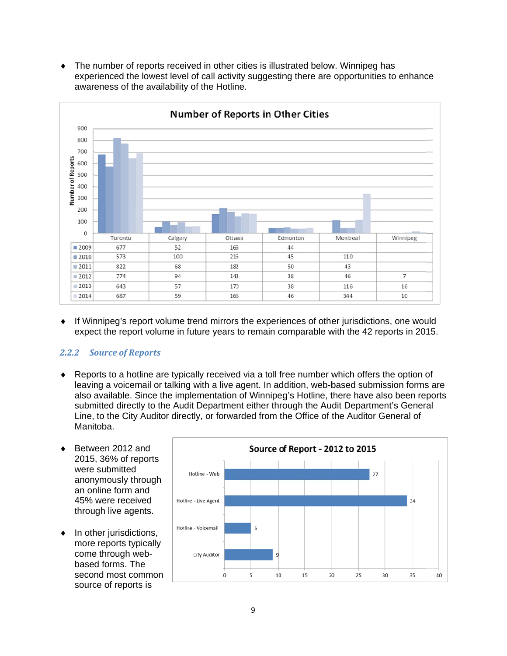• The number of reports received in other cities is illustrated below. Winnipeg has experienced the lowest level of call activity suggesting there are opportunities to enhance awareness of the availability of the Hotline.



If Winnipeg's report volume trend mirrors the experiences of other jurisdictions, one would ٠ expect the report volume in future years to remain comparable with the 42 reports in 2015.

#### **2.2.2 Source of Reports**

- ◆ Reports to a hotline are typically received via a toll free number which offers the option of leaving a voicemail or talking with a live agent. In addition, web-based submission forms are also available. Since the implementation of Winnipeg's Hotline, there have also been reports submitted directly to the Audit Department either through the Audit Department's General Line, to the City Auditor directly, or forwarded from the Office of the Auditor General of Manitoba.
- Between 2012 and 2015, 36% of reports were submitted anonymously through an online form and 45% were received through live agents.
- $\bullet$  In other jurisdictions, more reports typically come through webbased forms. The second most common source of reports is

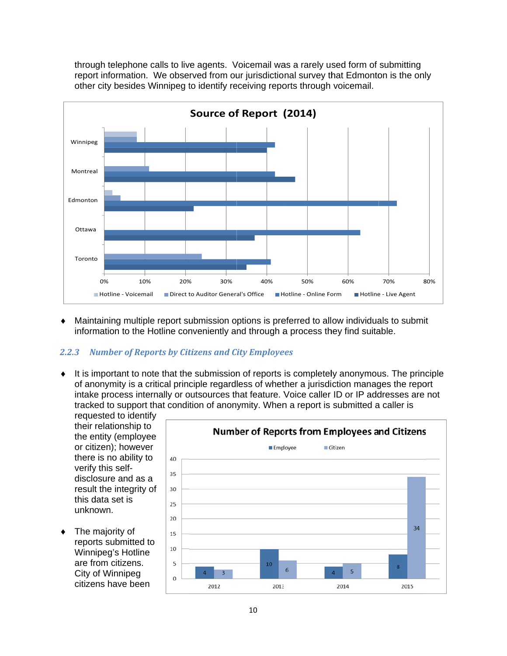through telephone calls to live agents. Voicemail was a rarely used form of submitting report information. We observed from our jurisdictional survey that Edmonton is the only other city besides Winnipeg to identify receiving reports through voicemail.



• Maintaining multiple report submission options is preferred to allow individuals to submit information to the Hotline conveniently and through a process they find suitable.

#### **Number of Reports by Citizens and City Employees**  $2.2.3$

• It is important to note that the submission of reports is completely anonymous. The principle of anonymity is a critical principle regardless of whether a jurisdiction manages the report intake process internally or outsources that feature. Voice caller ID or IP addresses are not tracked to support that condition of anonymity. When a report is submitted a caller is

requested to identify their relationship to the entity (employee or citizen); however there is no ability to verify this selfdisclosure and as a result the integrity of this data set is unknown.

 $\bullet$  The majority of reports submitted to Winnipeg's Hotline are from citizens. City of Winnipeg citizens have been

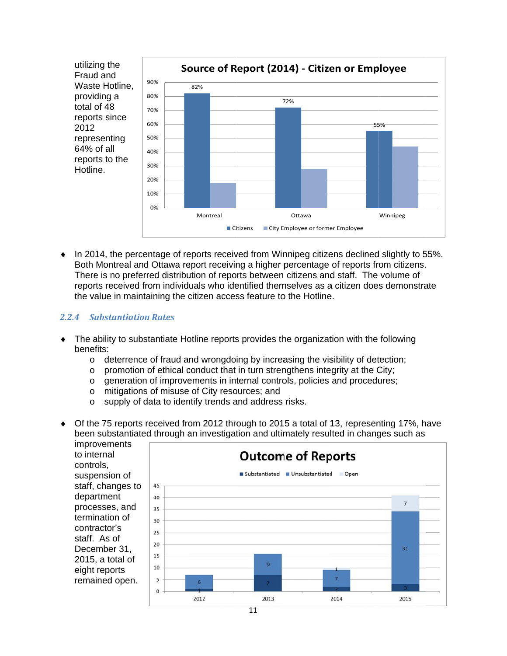

 $\bullet$  In 2014, the percentage of reports received from Winnipeg citizens declined slightly to 55%. Both Montreal and Ottawa report receiving a higher percentage of reports from citizens. There is no preferred distribution of reports between citizens and staff. The volume of reports received from individuals who identified themselves as a citizen does demonstrate the value in maintaining the citizen access feature to the Hotline.

#### **2.2.4 Substantiation Rates**

- The ability to substantiate Hotline reports provides the organization with the following benefits:
	- o deterrence of fraud and wrongdoing by increasing the visibility of detection;
	- promotion of ethical conduct that in turn strengthens integrity at the City;  $\circ$
	- generation of improvements in internal controls, policies and procedures;  $\circ$
	- mitigations of misuse of City resources; and  $\circ$
	- supply of data to identify trends and address risks.  $\circ$
- Of the 75 reports received from 2012 through to 2015 a total of 13, representing 17%, have been substantiated through an investigation and ultimately resulted in changes such as

*improvements* to internal controls. suspension of staff, changes to department processes, and termination of contractor's staff. As of December 31. 2015, a total of eight reports remained open.

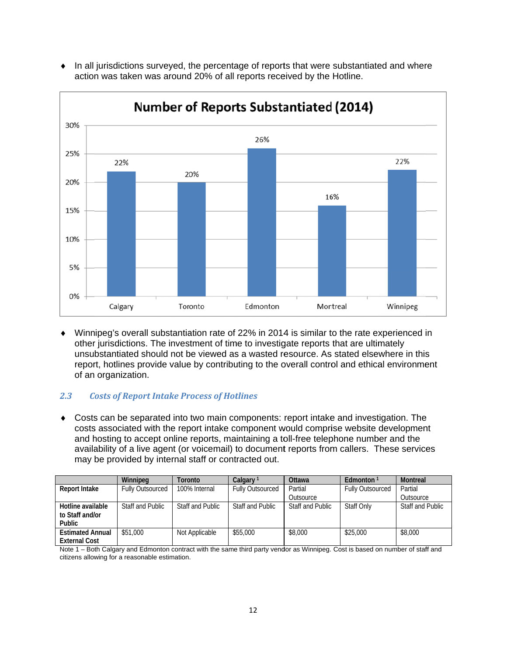

• In all jurisdictions surveyed, the percentage of reports that were substantiated and where action was taken was around 20% of all reports received by the Hotline.

• Winnipeg's overall substantiation rate of 22% in 2014 is similar to the rate experienced in other jurisdictions. The investment of time to investigate reports that are ultimately unsubstantiated should not be viewed as a wasted resource. As stated elsewhere in this report, hotlines provide value by contributing to the overall control and ethical environment of an organization.

#### $2.3$ **Costs of Report Intake Process of Hotlines**

• Costs can be separated into two main components: report intake and investigation. The costs associated with the report intake component would comprise website development and hosting to accept online reports, maintaining a toll-free telephone number and the availability of a live agent (or voicemail) to document reports from callers. These services may be provided by internal staff or contracted out.

|                                                 | Winnipeg                | Toronto          | Calgary                 | Ottawa           | Fdmonton <sup>1</sup>   | <b>Montreal</b>         |
|-------------------------------------------------|-------------------------|------------------|-------------------------|------------------|-------------------------|-------------------------|
| Report Intake                                   | <b>Fully Outsourced</b> | 100% Internal    | <b>Fully Outsourced</b> | Partial          | <b>Fully Outsourced</b> | Partial                 |
|                                                 |                         |                  |                         | Outsource        |                         | Outsource               |
| Hotline available<br>to Staff and/or<br>Public  | Staff and Public        | Staff and Public | Staff and Public        | Staff and Public | <b>Staff Only</b>       | <b>Staff and Public</b> |
| <b>Estimated Annual</b><br><b>External Cost</b> | \$51,000                | Not Applicable   | \$55,000                | \$8,000          | \$25,000                | \$8,000                 |

Note 1 – Both Calgary and Edmonton contract with the same third party vendor as Winnipeg. Cost is based on number of staff and citizens allowing for a reasonable estimation.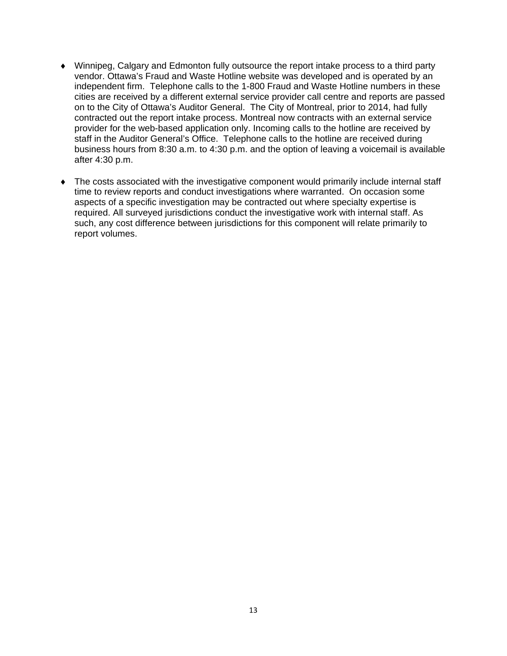- Winnipeg, Calgary and Edmonton fully outsource the report intake process to a third party vendor. Ottawa's Fraud and Waste Hotline website was developed and is operated by an independent firm. Telephone calls to the 1-800 Fraud and Waste Hotline numbers in these cities are received by a different external service provider call centre and reports are passed on to the City of Ottawa's Auditor General. The City of Montreal, prior to 2014, had fully contracted out the report intake process. Montreal now contracts with an external service provider for the web-based application only. Incoming calls to the hotline are received by staff in the Auditor General's Office. Telephone calls to the hotline are received during business hours from 8:30 a.m. to 4:30 p.m. and the option of leaving a voicemail is available after 4:30 p.m.
- The costs associated with the investigative component would primarily include internal staff time to review reports and conduct investigations where warranted. On occasion some aspects of a specific investigation may be contracted out where specialty expertise is required. All surveyed jurisdictions conduct the investigative work with internal staff. As such, any cost difference between jurisdictions for this component will relate primarily to report volumes.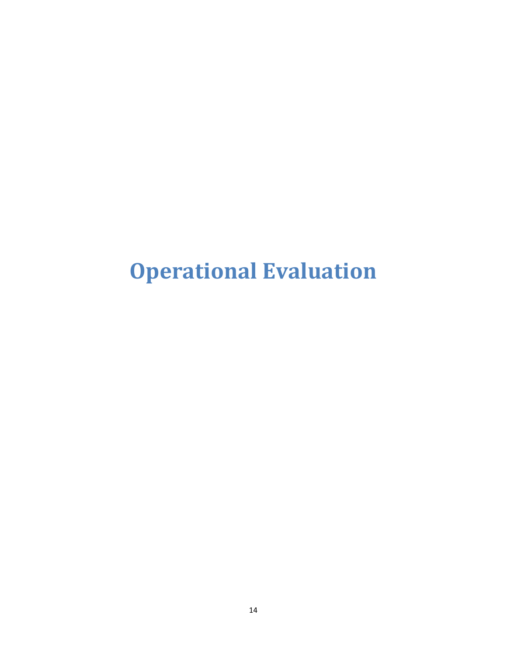## **Operational Evaluation**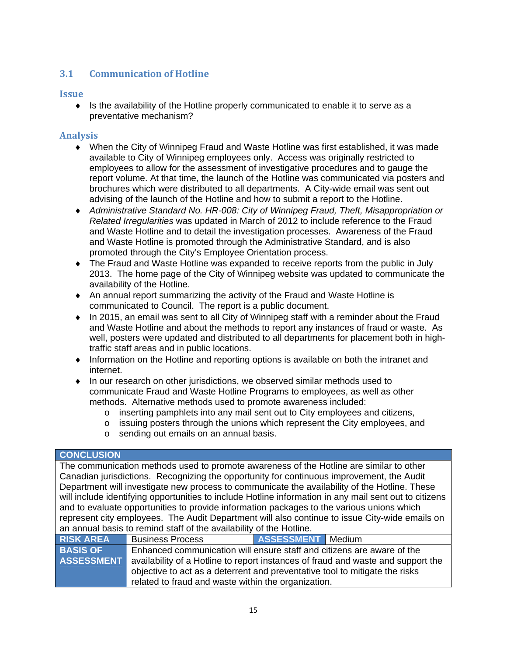#### **3.1 Communication of Hotline**

#### **Issue**

 $\bullet$  Is the availability of the Hotline properly communicated to enable it to serve as a preventative mechanism?

#### **Analysis**

- When the City of Winnipeg Fraud and Waste Hotline was first established, it was made available to City of Winnipeg employees only. Access was originally restricted to employees to allow for the assessment of investigative procedures and to gauge the report volume. At that time, the launch of the Hotline was communicated via posters and brochures which were distributed to all departments. A City-wide email was sent out advising of the launch of the Hotline and how to submit a report to the Hotline.
- *Administrative Standard No. HR-008: City of Winnipeg Fraud, Theft, Misappropriation or Related Irregularities* was updated in March of 2012 to include reference to the Fraud and Waste Hotline and to detail the investigation processes. Awareness of the Fraud and Waste Hotline is promoted through the Administrative Standard, and is also promoted through the City's Employee Orientation process.
- The Fraud and Waste Hotline was expanded to receive reports from the public in July 2013. The home page of the City of Winnipeg website was updated to communicate the availability of the Hotline.
- An annual report summarizing the activity of the Fraud and Waste Hotline is communicated to Council. The report is a public document.
- In 2015, an email was sent to all City of Winnipeg staff with a reminder about the Fraud and Waste Hotline and about the methods to report any instances of fraud or waste. As well, posters were updated and distributed to all departments for placement both in hightraffic staff areas and in public locations.
- Information on the Hotline and reporting options is available on both the intranet and internet.
- In our research on other jurisdictions, we observed similar methods used to communicate Fraud and Waste Hotline Programs to employees, as well as other methods. Alternative methods used to promote awareness included:
	- $\circ$  inserting pamphlets into any mail sent out to City employees and citizens,
	- o issuing posters through the unions which represent the City employees, and
	- o sending out emails on an annual basis.

#### **CONCLUSION**

The communication methods used to promote awareness of the Hotline are similar to other Canadian jurisdictions. Recognizing the opportunity for continuous improvement, the Audit Department will investigate new process to communicate the availability of the Hotline. These will include identifying opportunities to include Hotline information in any mail sent out to citizens and to evaluate opportunities to provide information packages to the various unions which represent city employees. The Audit Department will also continue to issue City-wide emails on an annual basis to remind staff of the availability of the Hotline.

| <b>RISK AREA</b>  | <b>Business Process</b>                                                          | ASSESSMENT Medium |  |  |
|-------------------|----------------------------------------------------------------------------------|-------------------|--|--|
| <b>BASIS OF</b>   | Enhanced communication will ensure staff and citizens are aware of the           |                   |  |  |
| <b>ASSESSMENT</b> | availability of a Hotline to report instances of fraud and waste and support the |                   |  |  |
|                   | objective to act as a deterrent and preventative tool to mitigate the risks      |                   |  |  |
|                   | related to fraud and waste within the organization.                              |                   |  |  |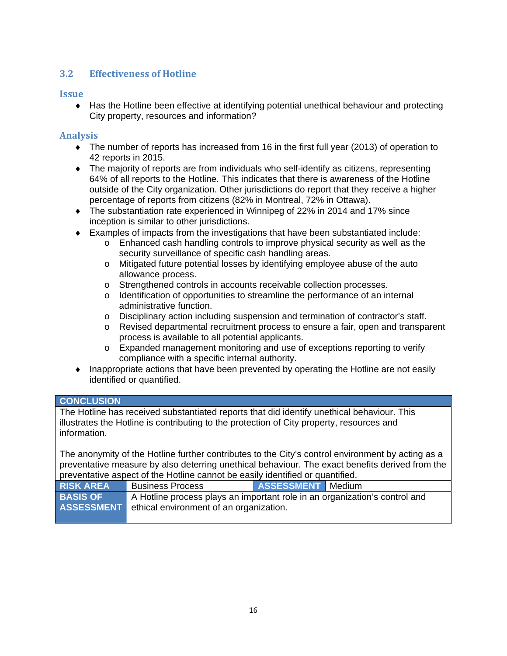#### **3.2 Effectiveness of Hotline**

#### **Issue**

 Has the Hotline been effective at identifying potential unethical behaviour and protecting City property, resources and information?

#### **Analysis**

- The number of reports has increased from 16 in the first full year (2013) of operation to 42 reports in 2015.
- The majority of reports are from individuals who self-identify as citizens, representing 64% of all reports to the Hotline. This indicates that there is awareness of the Hotline outside of the City organization. Other jurisdictions do report that they receive a higher percentage of reports from citizens (82% in Montreal, 72% in Ottawa).
- The substantiation rate experienced in Winnipeg of 22% in 2014 and 17% since inception is similar to other jurisdictions.
- Examples of impacts from the investigations that have been substantiated include:
	- o Enhanced cash handling controls to improve physical security as well as the security surveillance of specific cash handling areas.
	- o Mitigated future potential losses by identifying employee abuse of the auto allowance process.
	- o Strengthened controls in accounts receivable collection processes.
	- $\circ$  Identification of opportunities to streamline the performance of an internal administrative function.
	- o Disciplinary action including suspension and termination of contractor's staff.
	- o Revised departmental recruitment process to ensure a fair, open and transparent process is available to all potential applicants.
	- o Expanded management monitoring and use of exceptions reporting to verify compliance with a specific internal authority.
- $\bullet$  Inappropriate actions that have been prevented by operating the Hotline are not easily identified or quantified.

#### **CONCLUSION**

The Hotline has received substantiated reports that did identify unethical behaviour. This illustrates the Hotline is contributing to the protection of City property, resources and information.

The anonymity of the Hotline further contributes to the City's control environment by acting as a preventative measure by also deterring unethical behaviour. The exact benefits derived from the preventative aspect of the Hotline cannot be easily identified or quantified.

| <b>RISK AREA</b> | <b>Business Process</b>                                                                                                                 | ASSESSMENT Medium |  |  |
|------------------|-----------------------------------------------------------------------------------------------------------------------------------------|-------------------|--|--|
| <b>BASIS OF</b>  | A Hotline process plays an important role in an organization's control and<br><b>ASSESSMENT</b> ethical environment of an organization. |                   |  |  |
|                  |                                                                                                                                         |                   |  |  |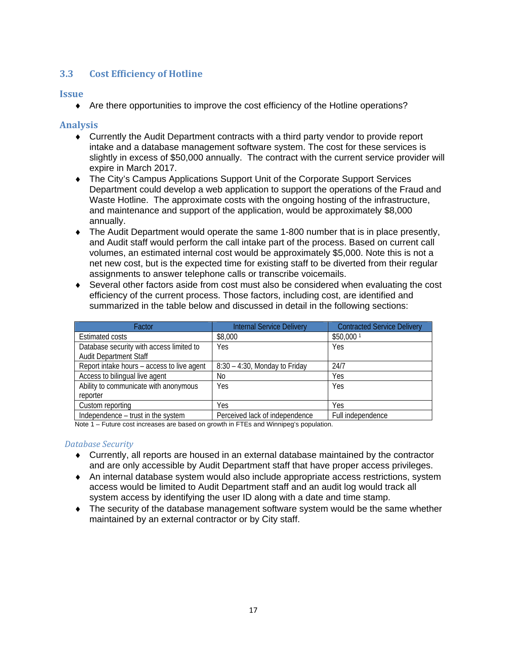#### **3.3 Cost Efficiency of Hotline**

#### **Issue**

Are there opportunities to improve the cost efficiency of the Hotline operations?

#### **Analysis**

- Currently the Audit Department contracts with a third party vendor to provide report intake and a database management software system. The cost for these services is slightly in excess of \$50,000 annually. The contract with the current service provider will expire in March 2017.
- The City's Campus Applications Support Unit of the Corporate Support Services Department could develop a web application to support the operations of the Fraud and Waste Hotline. The approximate costs with the ongoing hosting of the infrastructure, and maintenance and support of the application, would be approximately \$8,000 annually.
- The Audit Department would operate the same 1-800 number that is in place presently, and Audit staff would perform the call intake part of the process. Based on current call volumes, an estimated internal cost would be approximately \$5,000. Note this is not a net new cost, but is the expected time for existing staff to be diverted from their regular assignments to answer telephone calls or transcribe voicemails.
- Several other factors aside from cost must also be considered when evaluating the cost efficiency of the current process. Those factors, including cost, are identified and summarized in the table below and discussed in detail in the following sections:

| Factor                                     | <b>Internal Service Delivery</b> | <b>Contracted Service Delivery</b> |
|--------------------------------------------|----------------------------------|------------------------------------|
| <b>Estimated costs</b>                     | \$8,000                          | \$50,000 1                         |
| Database security with access limited to   | Yes                              | Yes                                |
| <b>Audit Department Staff</b>              |                                  |                                    |
| Report intake hours – access to live agent | $8:30 - 4:30$ , Monday to Friday | 24/7                               |
| Access to bilingual live agent             | N <sub>0</sub>                   | Yes                                |
| Ability to communicate with anonymous      | Yes                              | Yes                                |
| reporter                                   |                                  |                                    |
| Custom reporting                           | Yes                              | <b>Yes</b>                         |
| Independence – trust in the system         | Perceived lack of independence   | Full independence                  |

Note 1 – Future cost increases are based on growth in FTEs and Winnipeg's population.

#### *Database Security*

- Currently, all reports are housed in an external database maintained by the contractor and are only accessible by Audit Department staff that have proper access privileges.
- An internal database system would also include appropriate access restrictions, system access would be limited to Audit Department staff and an audit log would track all system access by identifying the user ID along with a date and time stamp.
- The security of the database management software system would be the same whether maintained by an external contractor or by City staff.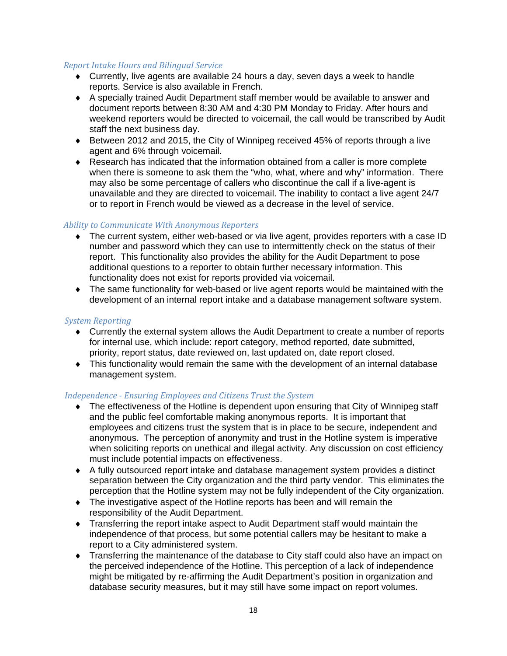#### *Report Intake Hours and Bilingual Service*

- Currently, live agents are available 24 hours a day, seven days a week to handle reports. Service is also available in French.
- A specially trained Audit Department staff member would be available to answer and document reports between 8:30 AM and 4:30 PM Monday to Friday. After hours and weekend reporters would be directed to voicemail, the call would be transcribed by Audit staff the next business day.
- Between 2012 and 2015, the City of Winnipeg received 45% of reports through a live agent and 6% through voicemail.
- Research has indicated that the information obtained from a caller is more complete when there is someone to ask them the "who, what, where and why" information. There may also be some percentage of callers who discontinue the call if a live-agent is unavailable and they are directed to voicemail. The inability to contact a live agent 24/7 or to report in French would be viewed as a decrease in the level of service.

#### *Ability to Communicate With Anonymous Reporters*

- The current system, either web-based or via live agent, provides reporters with a case ID number and password which they can use to intermittently check on the status of their report. This functionality also provides the ability for the Audit Department to pose additional questions to a reporter to obtain further necessary information. This functionality does not exist for reports provided via voicemail.
- The same functionality for web-based or live agent reports would be maintained with the development of an internal report intake and a database management software system.

#### **System** Reporting

- Currently the external system allows the Audit Department to create a number of reports for internal use, which include: report category, method reported, date submitted, priority, report status, date reviewed on, last updated on, date report closed.
- This functionality would remain the same with the development of an internal database management system.

#### *Independence ‐ Ensuring Employees and Citizens Trust the System*

- The effectiveness of the Hotline is dependent upon ensuring that City of Winnipeg staff and the public feel comfortable making anonymous reports. It is important that employees and citizens trust the system that is in place to be secure, independent and anonymous. The perception of anonymity and trust in the Hotline system is imperative when soliciting reports on unethical and illegal activity. Any discussion on cost efficiency must include potential impacts on effectiveness.
- A fully outsourced report intake and database management system provides a distinct separation between the City organization and the third party vendor. This eliminates the perception that the Hotline system may not be fully independent of the City organization.
- The investigative aspect of the Hotline reports has been and will remain the responsibility of the Audit Department.
- Transferring the report intake aspect to Audit Department staff would maintain the independence of that process, but some potential callers may be hesitant to make a report to a City administered system.
- Transferring the maintenance of the database to City staff could also have an impact on the perceived independence of the Hotline. This perception of a lack of independence might be mitigated by re-affirming the Audit Department's position in organization and database security measures, but it may still have some impact on report volumes.